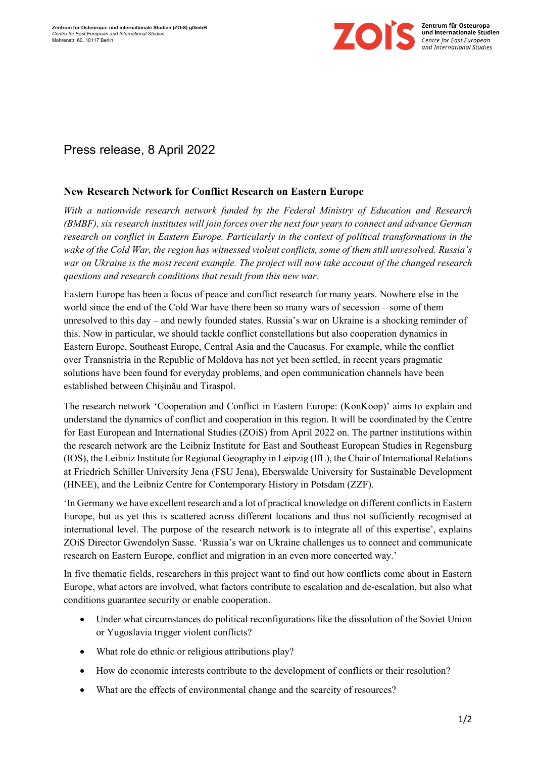

## Press release, 8 April 2022

## **New Research Network for Conflict Research on Eastern Europe**

*With a nationwide research network funded by the Federal Ministry of Education and Research (BMBF), six research institutes will join forces over the next four years to connect and advance German research on conflict in Eastern Europe. Particularly in the context of political transformations in the wake of the Cold War, the region has witnessed violent conflicts, some of them still unresolved. Russia's war on Ukraine is the most recent example. The project will now take account of the changed research questions and research conditions that result from this new war.*

Eastern Europe has been a focus of peace and conflict research for many years. Nowhere else in the world since the end of the Cold War have there been so many wars of secession – some of them unresolved to this day – and newly founded states. Russia's war on Ukraine is a shocking reminder of this. Now in particular, we should tackle conflict constellations but also cooperation dynamics in Eastern Europe, Southeast Europe, Central Asia and the Caucasus. For example, while the conflict over Transnistria in the Republic of Moldova has not yet been settled, in recent years pragmatic solutions have been found for everyday problems, and open communication channels have been established between Chişinău and Tiraspol.

The research network 'Cooperation and Conflict in Eastern Europe: (KonKoop)' aims to explain and understand the dynamics of conflict and cooperation in this region. It will be coordinated by the Centre for East European and International Studies (ZOiS) from April 2022 on. The partner institutions within the research network are the Leibniz Institute for East and Southeast European Studies in Regensburg (IOS), the Leibniz Institute for Regional Geography in Leipzig (IfL), the Chair of International Relations at Friedrich Schiller University Jena (FSU Jena), Eberswalde University for Sustainable Development (HNEE), and the Leibniz Centre for Contemporary History in Potsdam (ZZF).

'In Germany we have excellent research and a lot of practical knowledge on different conflicts in Eastern Europe, but as yet this is scattered across different locations and thus not sufficiently recognised at international level. The purpose of the research network is to integrate all of this expertise', explains ZOiS Director Gwendolyn Sasse. 'Russia's war on Ukraine challenges us to connect and communicate research on Eastern Europe, conflict and migration in an even more concerted way.'

In five thematic fields, researchers in this project want to find out how conflicts come about in Eastern Europe, what actors are involved, what factors contribute to escalation and de-escalation, but also what conditions guarantee security or enable cooperation.

- Under what circumstances do political reconfigurations like the dissolution of the Soviet Union or Yugoslavia trigger violent conflicts?
- What role do ethnic or religious attributions play?
- How do economic interests contribute to the development of conflicts or their resolution?
- What are the effects of environmental change and the scarcity of resources?